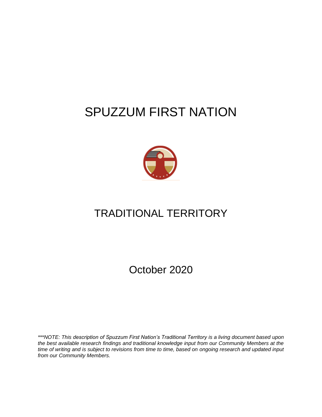# SPUZZUM FIRST NATION



# TRADITIONAL TERRITORY

October 2020

*\*\*\*NOTE: This description of Spuzzum First Nation's Traditional Territory is a living document based upon the best available research findings and traditional knowledge input from our Community Members at the time of writing and is subject to revisions from time to time, based on ongoing research and updated input from our Community Members.*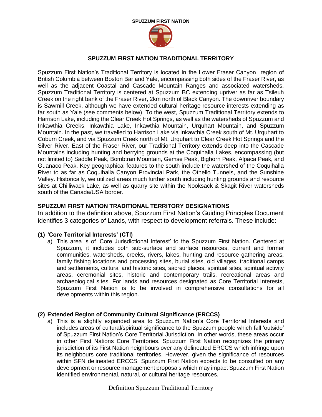

# **SPUZZUM FIRST NATION TRADITIONAL TERRITORY**

Spuzzum First Nation's Traditional Territory is located in the Lower Fraser Canyon region of British Columbia between Boston Bar and Yale, encompassing both sides of the Fraser River, as well as the adjacent Coastal and Cascade Mountain Ranges and associated watersheds. Spuzzum Traditional Territory is centered at Spuzzum BC extending upriver as far as Tsileuh Creek on the right bank of the Fraser River, 2km north of Black Canyon. The downriver boundary is Sawmill Creek, although we have extended cultural heritage resource interests extending as far south as Yale (see comments below). To the west, Spuzzum Traditional Territory extends to Harrison Lake, including the Clear Creek Hot Springs, as well as the watersheds of Spuzzum and Inkawthia Creeks, Inkawthia Lake, Inkawthia Mountain, Urquhart Mountain, and Spuzzum Mountain. In the past, we travelled to Harrison Lake via Inkawthia Creek south of Mt. Urquhart to Coburn Creek, and via Spuzzum Creek north of Mt. Urquhart to Clear Creek Hot Springs and the Silver River. East of the Fraser River, our Traditional Territory extends deep into the Cascade Mountains including hunting and berrying grounds at the Coquihalla Lakes, encompassing (but not limited to) Saddle Peak, Bombtran Mountain, Gemse Peak, Bighorn Peak, Alpaca Peak, and Guanaco Peak. Key geographical features to the south include the watershed of the Coquihalla River to as far as Coquihalla Canyon Provincial Park, the Othello Tunnels, and the Sunshine Valley. Historically, we utilized areas much further south including hunting grounds and resource sites at Chilliwack Lake, as well as quarry site within the Nooksack & Skagit River watersheds south of the Canada/USA border.

# **SPUZZUM FIRST NATION TRADITIONAL TERRITORY DESIGNATIONS**

In addition to the definition above, Spuzzum First Nation's Guiding Principles Document identifies 3 categories of Lands, with respect to development referrals. These include:

## **(1) 'Core Territorial Interests' (CTI)**

a) This area is of 'Core Jurisdictional Interest' to the Spuzzum First Nation. Centered at Spuzzum, it includes both sub-surface and surface resources, current and former communities, watersheds, creeks, rivers, lakes, hunting and resource gathering areas, family fishing locations and processing sites, burial sites, old villages, traditional camps and settlements, cultural and historic sites, sacred places, spiritual sites, spiritual activity areas, ceremonial sites, historic and contemporary trails, recreational areas and archaeological sites. For lands and resources designated as Core Territorial Interests, Spuzzum First Nation is to be involved in comprehensive consultations for all developments within this region.

## **(2) Extended Region of Community Cultural Significance (ERCCS)**

a) This is a slightly expanded area to Spuzzum Nation's Core Territorial Interests and includes areas of cultural/spiritual significance to the Spuzzum people which fall 'outside' of Spuzzum First Nation's Core Territorial Jurisdiction. In other words, these areas occur in other First Nations Core Territories. Spuzzum First Nation recognizes the primary jurisdiction of its First Nation neighbours over any delineated ERCCS which infringe upon its neighbours core traditional territories. However, given the significance of resources within SFN delineated ERCCS, Spuzzum First Nation expects to be consulted on any development or resource management proposals which may impact Spuzzum First Nation identified environmental, natural, or cultural heritage resources.

Definition Spuzzum Traditional Territory